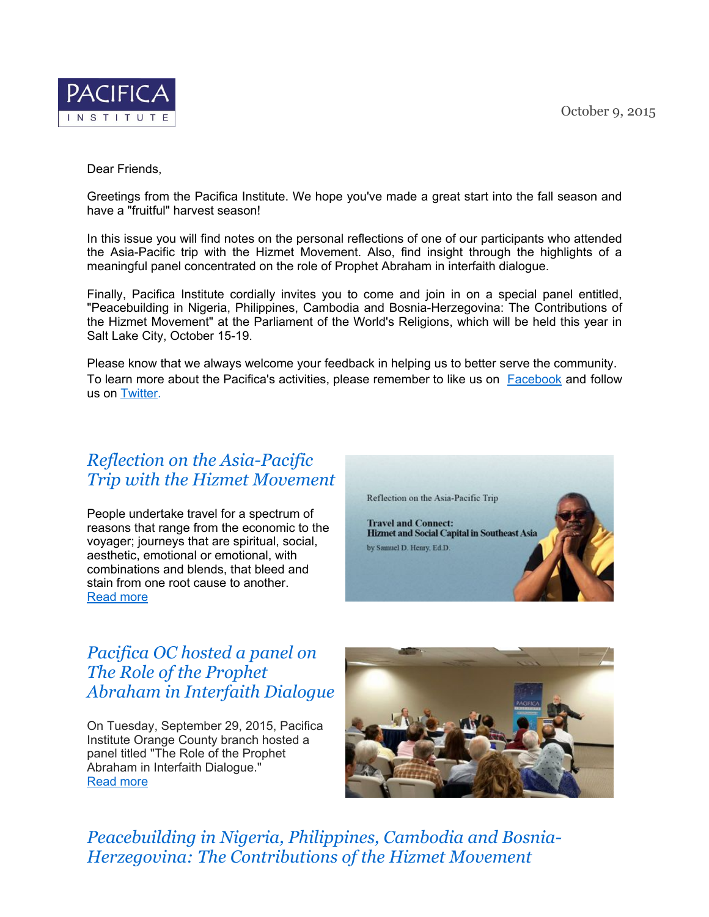

### Dear Friends,

Greetings from the Pacifica Institute. We hope you've made a great start into the fall season and have a "fruitful" harvest season!

In this issue you will find notes on the personal reflections of one of our participants who attended the Asia-Pacific trip with the Hizmet Movement. Also, find insight through the highlights of a meaningful panel concentrated on the role of Prophet Abraham in interfaith dialogue.

Finally, Pacifica Institute cordially invites you to come and join in on a special panel entitled, "Peacebuilding in Nigeria, Philippines, Cambodia and Bosnia-Herzegovina: The Contributions of the Hizmet Movement" at the Parliament of the World's Religions, which will be held this year in Salt Lake City, October 15-19.

Please know that we always welcome your feedback in helping us to better serve the community. To learn more about the Pacifica's activities, please remember to like us on [Facebook](https://www.facebook.com/pacificainstitute?ref=bookmarks) and follow us on [Twitter](https://twitter.com/Pacifica_Ins).

### *Reflection on the [Asia-Pacific](http://pacificainstitute.org/2015/09/28/reflection-on-the-asia-pacific-trip-with-the-hizmet-movement/) Trip with the Hizmet Movement*

People undertake travel for a spectrum of reasons that range from the economic to the voyager; journeys that are spiritual, social, aesthetic, emotional or emotional, with combinations and blends, that bleed and stain from one root cause to another. [Read](http://pacificainstitute.org/2015/09/28/reflection-on-the-asia-pacific-trip-with-the-hizmet-movement/) more



# *Pacifica OC hosted a panel on The Role of the Prophet Abraham in [Interfaith](http://pacificainstitute.org/2015/10/07/pacifica-oc-hosted-a-panel-on-the-role-of-the-prophet-abraham-in-interfaith-dialogue/) Dialogue*

On Tuesday, September 29, 2015, Pacifica Institute Orange County branch hosted a panel titled "The Role of the Prophet Abraham in Interfaith Dialogue." [Read](http://pacificainstitute.org/2015/10/07/pacifica-oc-hosted-a-panel-on-the-role-of-the-prophet-abraham-in-interfaith-dialogue/) more



*[Peacebuilding](http://pacificainstitute.org/2015/09/10/2015-parliament-of-the-worlds-religions-i-salt-lake-city-i-oct-15-19/) in Nigeria, Philippines, Cambodia and Bosnia-Herzegovina: The Contributions of the Hizmet Movement*